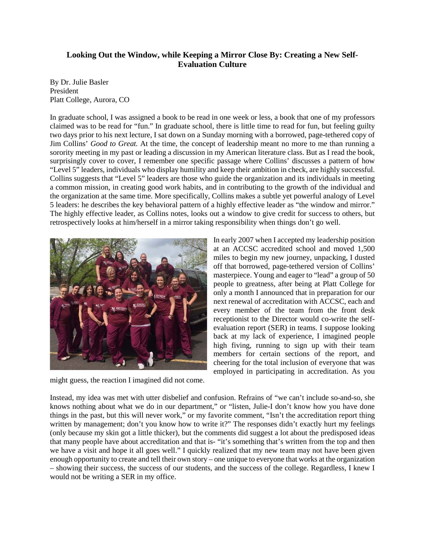## **Looking Out the Window, while Keeping a Mirror Close By: Creating a New Self-Evaluation Culture**

By Dr. Julie Basler President Platt College, Aurora, CO

In graduate school, I was assigned a book to be read in one week or less, a book that one of my professors claimed was to be read for "fun." In graduate school, there is little time to read for fun, but feeling guilty two days prior to his next lecture, I sat down on a Sunday morning with a borrowed, page-tethered copy of Jim Collins' *Good to Great.* At the time, the concept of leadership meant no more to me than running a sorority meeting in my past or leading a discussion in my American literature class. But as I read the book, surprisingly cover to cover, I remember one specific passage where Collins' discusses a pattern of how "Level 5" leaders, individuals who display humility and keep their ambition in check, are highly successful. Collins suggests that "Level 5" leaders are those who guide the organization and its individuals in meeting a common mission, in creating good work habits, and in contributing to the growth of the individual and the organization at the same time. More specifically, Collins makes a subtle yet powerful analogy of Level 5 leaders: he describes the key behavioral pattern of a highly effective leader as "the window and mirror." The highly effective leader, as Collins notes, looks out a window to give credit for success to others, but retrospectively looks at him/herself in a mirror taking responsibility when things don't go well.



might guess, the reaction I imagined did not come.

In early 2007 when I accepted my leadership position at an ACCSC accredited school and moved 1,500 miles to begin my new journey, unpacking, I dusted off that borrowed, page-tethered version of Collins' masterpiece. Young and eager to "lead" a group of 50 people to greatness, after being at Platt College for only a month I announced that in preparation for our next renewal of accreditation with ACCSC, each and every member of the team from the front desk receptionist to the Director would co-write the selfevaluation report (SER) in teams. I suppose looking back at my lack of experience, I imagined people high fiving, running to sign up with their team members for certain sections of the report, and cheering for the total inclusion of everyone that was employed in participating in accreditation. As you

Instead, my idea was met with utter disbelief and confusion. Refrains of "we can't include so-and-so, she knows nothing about what we do in our department," or "listen, Julie-I don't know how you have done things in the past, but this will never work," or my favorite comment, "Isn't the accreditation report thing written by management; don't you know how to write it?" The responses didn't exactly hurt my feelings (only because my skin got a little thicker), but the comments did suggest a lot about the predisposed ideas that many people have about accreditation and that is- "it's something that's written from the top and then we have a visit and hope it all goes well." I quickly realized that my new team may not have been given enough opportunity to create and tell their own story – one unique to everyone that works at the organization – showing their success, the success of our students, and the success of the college. Regardless, I knew I would not be writing a SER in my office.